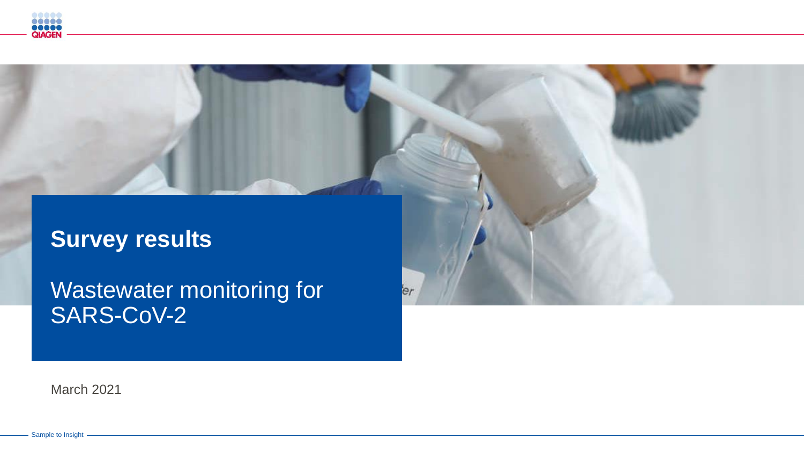

# **Survey results**

Wastewater monitoring for SARS-CoV-2

er

March 2021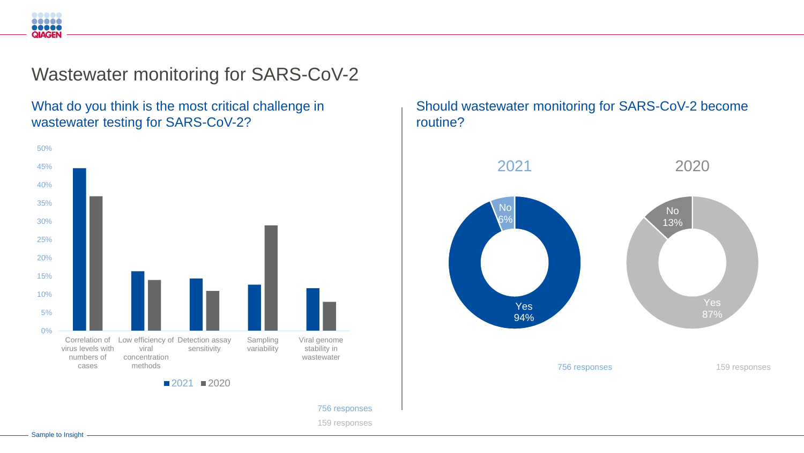Wastewater monitoring for SARS-CoV-2

### What do you think is the most critical challenge in wastewater testing for SARS-CoV-2?



Should wastewater monitoring for SARS-CoV-2 become routine?



Sample to Insight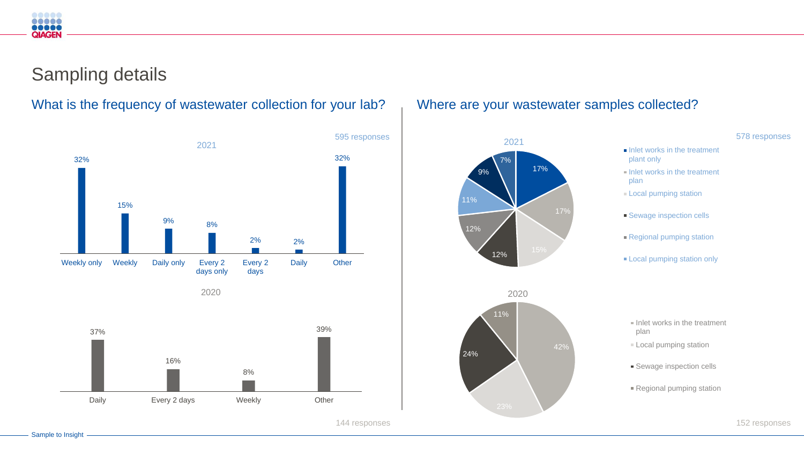## Sampling details



What is the frequency of wastewater collection for your lab? Where are your wastewater samples collected?



578 responses

152 responses

- $\blacksquare$  Inlet works in the treatment plant only
- $\blacksquare$  Inlet works in the treatment plan
- **Local pumping station**
- **Sewage inspection cells**
- Regional pumping station
- **Local pumping station only**

- $\blacksquare$  Inlet works in the treatment plan
- Local pumping station
- **Sewage inspection cells**
- Regional pumping station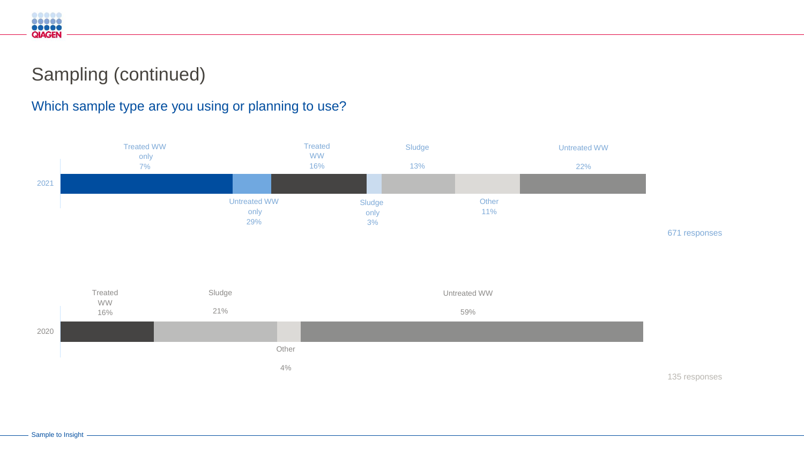## Sampling (continued)

### Which sample type are you using or planning to use?





135 responses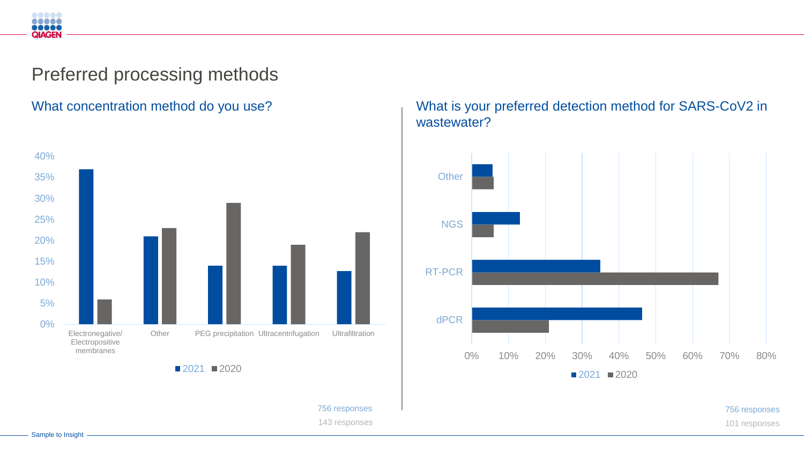## Preferred processing methods



#### What concentration method do you use?<br>
What is your preferred detection method for SARS-CoV2 in wastewater?



143 responses 101 responses